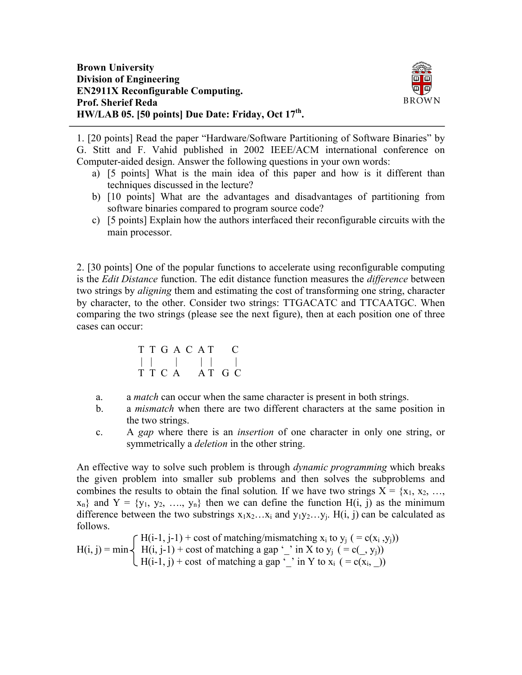

1. [20 points] Read the paper "Hardware/Software Partitioning of Software Binaries" by G. Stitt and F. Vahid published in 2002 IEEE/ACM international conference on Computer-aided design. Answer the following questions in your own words:

- a) [5 points] What is the main idea of this paper and how is it different than techniques discussed in the lecture?
- b) [10 points] What are the advantages and disadvantages of partitioning from software binaries compared to program source code?
- c) [5 points] Explain how the authors interfaced their reconfigurable circuits with the main processor.

2. [30 points] One of the popular functions to accelerate using reconfigurable computing is the *Edit Distance* function. The edit distance function measures the *difference* between two strings by *aligning* them and estimating the cost of transforming one string, character by character, to the other. Consider two strings: TTGACATC and TTCAATGC. When comparing the two strings (please see the next figure), then at each position one of three cases can occur:

$$
\begin{array}{ccccccc}\nT & T & G & A & C & A & T & C \\
| & | & | & | & | & | & \n\end{array}
$$
\n
$$
\begin{array}{ccccccc}\nT & T & C & A & & AT & G & C\n\end{array}
$$

- a. a *match* can occur when the same character is present in both strings.
- b. a *mismatch* when there are two different characters at the same position in the two strings.
- c. A *gap* where there is an *insertion* of one character in only one string, or symmetrically a *deletion* in the other string.

An effective way to solve such problem is through *dynamic programming* which breaks the given problem into smaller sub problems and then solves the subproblems and combines the results to obtain the final solution. If we have two strings  $X = \{x_1, x_2, \ldots, x_n\}$  $x_n$ } and  $Y = \{y_1, y_2, \ldots, y_n\}$  then we can define the function  $H(i, j)$  as the minimum difference between the two substrings  $x_1x_2...x_i$  and  $y_1y_2...y_i$ . H(i, j) can be calculated as follows.

 $\int H(i-1, j-1)$  + cost of matching/mismatching  $x_i$  to  $y_j$  ( = c( $x_i$ ,  $y_j$ ))  $H(i, j) = min \left\{ H(i, j-1) + cost of matching a gap '$  in X to  $y_i$  ( = c(\_, y<sub>i</sub>))  $\Box$  H(i-1, j) + cost of matching a gap '\_' in Y to x<sub>i</sub> ( = c(x<sub>i</sub>, \_))